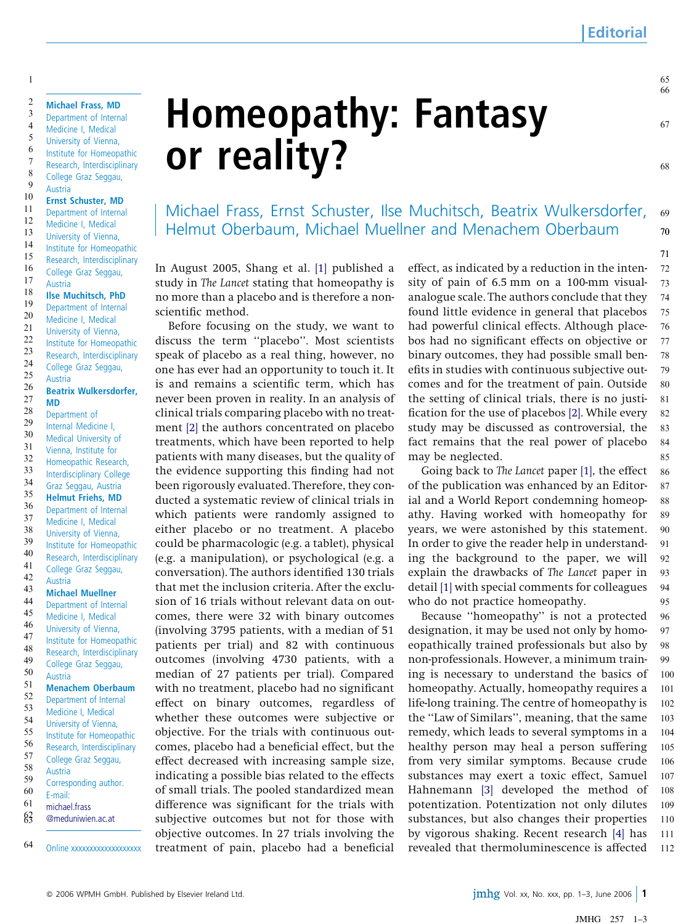68

71

Michael Frass, Ernst Schuster, Ilse Muchitsch, Beatrix Wulkersdorfer, Helmut Oberbaum, Michael Muellner and Menachem Oberbaum 69 70

In August 2005, Shang et al. [\[1\]](#page-2-0) published a study in The Lancet stating that homeopathy is no more than a placebo and is therefore a nonscientific method.

Before focusing on the study, we want to discuss the term ''placebo''. Most scientists speak of placebo as a real thing, however, no one has ever had an opportunity to touch it. It is and remains a scientific term, which has never been proven in reality. In an analysis of clinical trials comparing placebo with no treatment [\[2\]](#page-2-0) the authors concentrated on placebo treatments, which have been reported to help patients with many diseases, but the quality of the evidence supporting this finding had not been rigorously evaluated. Therefore, they conducted a systematic review of clinical trials in which patients were randomly assigned to either placebo or no treatment. A placebo could be pharmacologic (e.g. a tablet), physical (e.g. a manipulation), or psychological (e.g. a conversation). The authors identified 130 trials that met the inclusion criteria. After the exclusion of 16 trials without relevant data on outcomes, there were 32 with binary outcomes (involving 3795 patients, with a median of 51 patients per trial) and 82 with continuous outcomes (involving 4730 patients, with a median of 27 patients per trial). Compared with no treatment, placebo had no significant effect on binary outcomes, regardless of whether these outcomes were subjective or objective. For the trials with continuous outcomes, placebo had a beneficial effect, but the effect decreased with increasing sample size, indicating a possible bias related to the effects of small trials. The pooled standardized mean difference was significant for the trials with subjective outcomes but not for those with objective outcomes. In 27 trials involving the treatment of pain, placebo had a beneficial

effect, as indicated by a reduction in the intensity of pain of 6.5 mm on a 100-mm visualanalogue scale. The authors conclude that they found little evidence in general that placebos had powerful clinical effects. Although placebos had no significant effects on objective or binary outcomes, they had possible small benefits in studies with continuous subjective outcomes and for the treatment of pain. Outside the setting of clinical trials, there is no justification for the use of placebos [\[2\]](#page-2-0). While every study may be discussed as controversial, the fact remains that the real power of placebo may be neglected. 72 73 74 75 76 77 78 79 80 81 82 83 84 85

Going back to The Lancet paper [\[1\]](#page-2-0), the effect of the publication was enhanced by an Editorial and a World Report condemning homeopathy. Having worked with homeopathy for years, we were astonished by this statement. In order to give the reader help in understanding the background to the paper, we will explain the drawbacks of The Lancet paper in detail [\[1\]](#page-2-0) with special comments for colleagues who do not practice homeopathy. 86 87 88 89 90 91 92 93 94 95

Because ''homeopathy'' is not a protected designation, it may be used not only by homoeopathically trained professionals but also by non-professionals. However, a minimum training is necessary to understand the basics of homeopathy. Actually, homeopathy requires a life-long training. The centre of homeopathy is the ''Law of Similars'', meaning, that the same remedy, which leads to several symptoms in a healthy person may heal a person suffering from very similar symptoms. Because crude substances may exert a toxic effect, Samuel Hahnemann [\[3\]](#page-2-0) developed the method of potentization. Potentization not only dilutes substances, but also changes their properties by vigorous shaking. Recent research [\[4\]](#page-2-0) has revealed that thermoluminescence is affected 96 97 98 99 100 101 102 103 104 105 106 107 108 109 110 111 112

Graz Seggau, Austria Helmut Friehs, MD Department of Internal Medicine I, Medical University of Vienna, Institute for Homeopathic Research, Interdisciplinary College Graz Seggau, Austria Michael Muellner Department of Internal Medicine I, Medical University of Vienna, Institute for Homeopathic Research, Interdisciplinary College Graz Seggau, Austria Menachem Oberbaum Department of Internal Medicine I, Medical University of Vienna, Institute for Homeopathic Research, Interdisciplinary College Graz Seggau, Austria Corresponding author. E-mail: [michael.frass](mailto:michael.frass@meduniwien.ac.at) [@meduniwien.ac.at](mailto:michael.frass@meduniwien.ac.at) Online xxxxxxxxxxxxxxxxx 35 36 37 38 39 40 41 42 43 44 45 46 47 48 49 50 51 52 53 54 55 56 57 58 59 60 61  $63$ 64

Michael Frass, MD Department of Internal Medicine I, Medical University of Vienna, Institute for Homeopathic Research, Interdisciplinary College Graz Seggau,

Ernst Schuster, MD Department of Internal Medicine I, Medical University of Vienna, Institute for Homeopathic Research, Interdisciplinary College Graz Seggau,

Ilse Muchitsch, PhD Department of Internal Medicine I, Medical University of Vienna, Institute for Homeopathic Research, Interdisciplinary College Graz Seggau,

Beatrix Wulkersdorfer,

Austria

Austria

Austria

MD Department of Internal Medicine I, Medical University of Vienna, Institute for Homeopathic Research, Interdisciplinary College

## Homeopathy: Fantasy or reality?

© 2006 WPMH GmbH. Published by Elsevier Ireland Ltd. Vol. 2006 1 2006 1 2006 1 2006 1 2006 1 2006 1 2006 1 2006 1 2006 1 2006 1 2006 1 2006 1 2006 1 2006 1 2006 1 2006 1 2006 1 2006 1 2006 1 2006 1 2006 1 2006 1 2006 1 200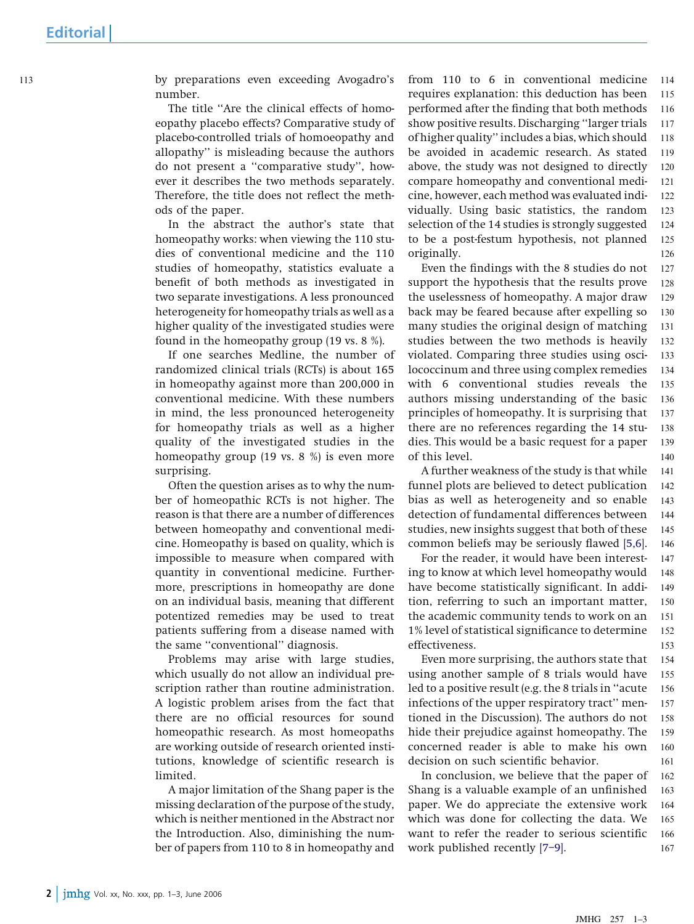by preparations even exceeding Avogadro's 113 114 number.

> The title ''Are the clinical effects of homoeopathy placebo effects? Comparative study of placebo-controlled trials of homoeopathy and allopathy'' is misleading because the authors do not present a ''comparative study'', however it describes the two methods separately. Therefore, the title does not reflect the methods of the paper.

> In the abstract the author's state that homeopathy works: when viewing the 110 studies of conventional medicine and the 110 studies of homeopathy, statistics evaluate a benefit of both methods as investigated in two separate investigations. A less pronounced heterogeneity for homeopathy trials as well as a higher quality of the investigated studies were found in the homeopathy group (19 vs. 8 %).

> If one searches Medline, the number of randomized clinical trials (RCTs) is about 165 in homeopathy against more than 200,000 in conventional medicine. With these numbers in mind, the less pronounced heterogeneity for homeopathy trials as well as a higher quality of the investigated studies in the homeopathy group (19 vs. 8 %) is even more surprising.

> Often the question arises as to why the number of homeopathic RCTs is not higher. The reason is that there are a number of differences between homeopathy and conventional medicine. Homeopathy is based on quality, which is impossible to measure when compared with quantity in conventional medicine. Furthermore, prescriptions in homeopathy are done on an individual basis, meaning that different potentized remedies may be used to treat patients suffering from a disease named with the same ''conventional'' diagnosis.

> Problems may arise with large studies, which usually do not allow an individual prescription rather than routine administration. A logistic problem arises from the fact that there are no official resources for sound homeopathic research. As most homeopaths are working outside of research oriented institutions, knowledge of scientific research is limited.

> A major limitation of the Shang paper is the missing declaration of the purpose of the study, which is neither mentioned in the Abstract nor the Introduction. Also, diminishing the number of papers from 110 to 8 in homeopathy and

from 110 to 6 in conventional medicine requires explanation: this deduction has been performed after the finding that both methods show positive results. Discharging ''larger trials of higher quality'' includes a bias, which should be avoided in academic research. As stated above, the study was not designed to directly compare homeopathy and conventional medicine, however, each method was evaluated individually. Using basic statistics, the random selection of the 14 studies is strongly suggested to be a post-festum hypothesis, not planned originally. 115 116 117 118 119 120 121 122 123 124 125 126

Even the findings with the 8 studies do not support the hypothesis that the results prove the uselessness of homeopathy. A major draw back may be feared because after expelling so many studies the original design of matching studies between the two methods is heavily violated. Comparing three studies using oscilococcinum and three using complex remedies with 6 conventional studies reveals the authors missing understanding of the basic principles of homeopathy. It is surprising that there are no references regarding the 14 studies. This would be a basic request for a paper of this level. 127 128 129 130 131 132 133 134 135 136 137 138 139 140

A further weakness of the study is that while funnel plots are believed to detect publication bias as well as heterogeneity and so enable detection of fundamental differences between studies, new insights suggest that both of these common beliefs may be seriously flawed [\[5,6\]](#page-2-0). 141 142 143 144 145 146

For the reader, it would have been interesting to know at which level homeopathy would have become statistically significant. In addition, referring to such an important matter, the academic community tends to work on an 1% level of statistical significance to determine effectiveness. 147 148 149 150 151 152 153

Even more surprising, the authors state that using another sample of 8 trials would have led to a positive result (e.g. the 8 trials in ''acute infections of the upper respiratory tract'' mentioned in the Discussion). The authors do not hide their prejudice against homeopathy. The concerned reader is able to make his own decision on such scientific behavior. 154 155 156 157 158 159 160 161

In conclusion, we believe that the paper of Shang is a valuable example of an unfinished paper. We do appreciate the extensive work which was done for collecting the data. We want to refer the reader to serious scientific work published recently [\[7–9\].](#page-2-0) 162 163 164 165 166 167